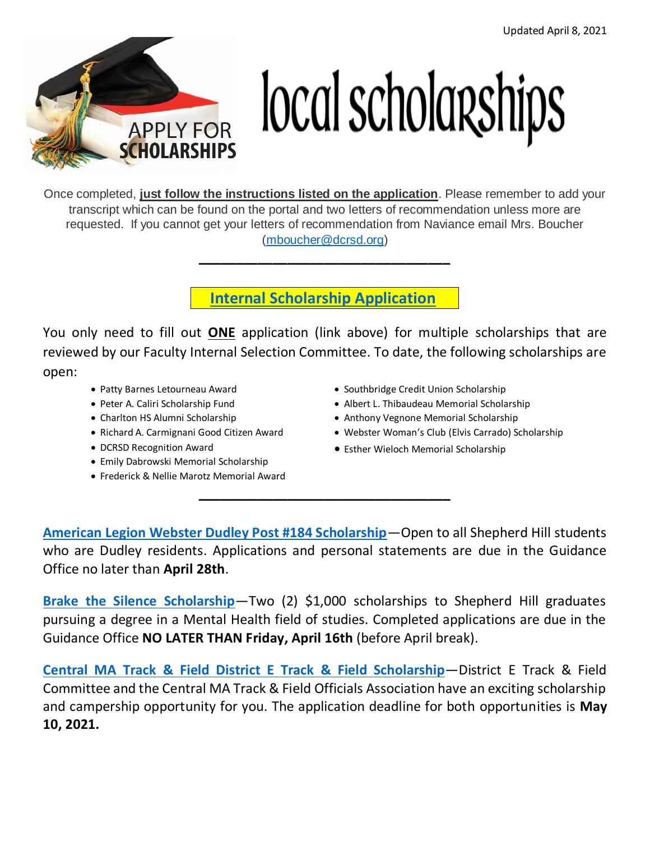

## local scholarships

Once completed, **just follow the instructions listed on the application**. Please remember to add your transcript which can be found on the portal and two letters of recommendation unless more are requested. If you cannot get your letters of recommendation from Naviance email Mrs. Boucher [\(mboucher@dcrsd.org\)](mailto:mboucher@dcrsd.org)

 **Internal Scholarship [Application](https://classroom.google.com/c/MzgxMTM4MjEzMzda/p/MjU5MjU0NDg2MTQ4/details)** 

**\_\_\_\_\_\_\_\_\_\_\_\_\_\_\_\_\_\_\_\_\_\_\_\_\_\_\_\_\_\_\_\_\_\_**

You only need to fill out **ONE** application (link above) for multiple scholarships that are reviewed by our Faculty Internal Selection Committee. To date, the following scholarships are open:

- Patty Barnes Letourneau Award
- Peter A. Caliri Scholarship Fund
- Charlton HS Alumni Scholarship
- Richard A. Carmignani Good Citizen Award
- DCRSD Recognition Award
- Emily Dabrowski Memorial Scholarship
- Frederick & Nellie Marotz Memorial Award
- Southbridge Credit Union Scholarship
- Albert L. Thibaudeau Memorial Scholarship
- Anthony Vegnone Memorial Scholarship
- Webster Woman's Club (Elvis Carrado) Scholarship
- Esther Wieloch Memorial Scholarship

**[American Legion Webster Dudley Post #184 Scholarship](https://www.dcrsd.org/uploaded/Schools/SH/guidance/Scholarships/American_Legion_Webster_Dudley_Post_184_Application.pdf?1614606694148)**—Open to all Shepherd Hill students who are Dudley residents. Applications and personal statements are due in the Guidance Office no later than **April 28th**.

**\_\_\_\_\_\_\_\_\_\_\_\_\_\_\_\_\_\_\_\_\_\_\_\_\_\_\_\_\_\_\_\_\_\_**

**[Brake the Silence Scholarship](https://www.dcrsd.org/uploaded/Schools/SH/guidance/Scholarships/Brake_the_Silence_Application.pdf?1615831898884)**—Two (2) \$1,000 scholarships to Shepherd Hill graduates pursuing a degree in a Mental Health field of studies. Completed applications are due in the Guidance Office **NO LATER THAN Friday, April 16th** (before April break).

**[Central MA Track & Field District E Track & Field Scholarship](https://www.dcrsd.org/uploaded/Schools/SH/guidance/Scholarships/Central_MA_Track_and_Field_and_District_E_Track_and_Field_Committee_Scholarship_and_Campership.pdf?1612535805922)**—District E Track & Field Committee and the Central MA Track & Field Officials Association have an exciting scholarship and campership opportunity for you. The application deadline for both opportunities is **May 10, 2021.**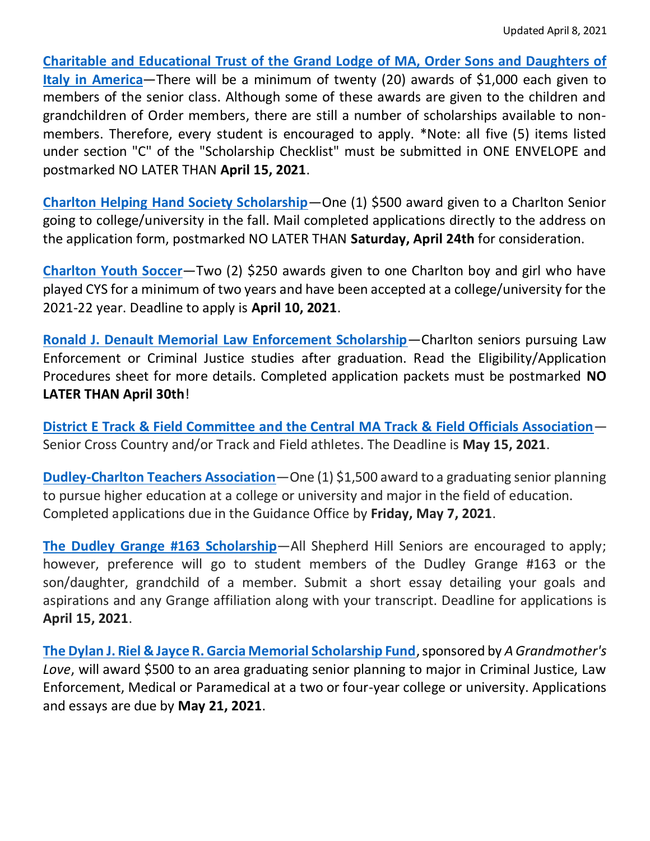**[Charitable and Educational Trust of the Grand Lodge of MA, Order Sons and Daughters of](https://www.dcrsd.org/uploaded/Schools/SH/guidance/Scholarships/Charitable_and_Educational_Trust_of_Grand_Lodge_of_MA_Scholarship_Application_and_Info_Sheet.pdf?1613065794075)  [Italy in America](https://www.dcrsd.org/uploaded/Schools/SH/guidance/Scholarships/Charitable_and_Educational_Trust_of_Grand_Lodge_of_MA_Scholarship_Application_and_Info_Sheet.pdf?1613065794075)**—There will be a minimum of twenty (20) awards of \$1,000 each given to members of the senior class. Although some of these awards are given to the children and grandchildren of Order members, there are still a number of scholarships available to nonmembers. Therefore, every student is encouraged to apply. \*Note: all five (5) items listed under section "C" of the "Scholarship Checklist" must be submitted in ONE ENVELOPE and postmarked NO LATER THAN **April 15, 2021**.

**[Charlton Helping Hand Society Scholarship](https://www.dcrsd.org/uploaded/Schools/SH/guidance/Scholarships/Charlton_Helping_Hands.pdf?1615832273051)**—One (1) \$500 award given to a Charlton Senior going to college/university in the fall. Mail completed applications directly to the address on the application form, postmarked NO LATER THAN **Saturday, April 24th** for consideration.

**[Charlton Youth Soccer](https://www.dcrsd.org/uploaded/Schools/SH/guidance/Scholarships/Charlton_Youth_Soccer_Application.pdf?1614194541536)**—Two (2) \$250 awards given to one Charlton boy and girl who have played CYS for a minimum of two years and have been accepted at a college/university for the 2021-22 year. Deadline to apply is **April 10, 2021**.

**[Ronald J. Denault Memorial Law Enforcement Scholarship](https://www.dcrsd.org/uploaded/Schools/SH/guidance/Scholarships/Ronald_Denault_Memorial_Scholarship.pdf?1614626993379)**—Charlton seniors pursuing Law Enforcement or Criminal Justice studies after graduation. Read the Eligibility/Application Procedures sheet for more details. Completed application packets must be postmarked **NO LATER THAN April 30th**!

**[District E Track & Field Committee and the Central MA Track & Field Officials Association](http://www.cmtfoa.org/scholarship.html)**— Senior Cross Country and/or Track and Field athletes. The Deadline is **May 15, 2021**.

**[Dudley-Charlton Teachers Association](https://www.dcrsd.org/uploaded/Schools/SH/guidance/Scholarships/DCRSD_Teachers_Association_Scholarship.pdf?1616780241677)**—One (1) \$1,500 award to a graduating senior planning to pursue higher education at a college or university and major in the field of education. Completed applications due in the Guidance Office by **Friday, May 7, 2021**.

**[The Dudley Grange #163 Scholarship](https://www.dcrsd.org/uploaded/Schools/SH/guidance/Scholarships/Dudley_Grange_163_Scholarship.pdf?1612798674338)**—All Shepherd Hill Seniors are encouraged to apply; however, preference will go to student members of the Dudley Grange #163 or the son/daughter, grandchild of a member. Submit a short essay detailing your goals and aspirations and any Grange affiliation along with your transcript. Deadline for applications is **April 15, 2021**.

**[The Dylan J. Riel & Jayce R. Garcia Memorial Scholarship Fund](https://www.dcrsd.org/uploaded/Schools/SH/guidance/Scholarships/Dylan_J_Riel_Jayce_R_Garcia_Memorial_Scholarship_Info_and_Application.pdf?1613667825570)**, sponsored by *A Grandmother's Love*, will award \$500 to an area graduating senior planning to major in Criminal Justice, Law Enforcement, Medical or Paramedical at a two or four-year college or university. Applications and essays are due by **May 21, 2021**.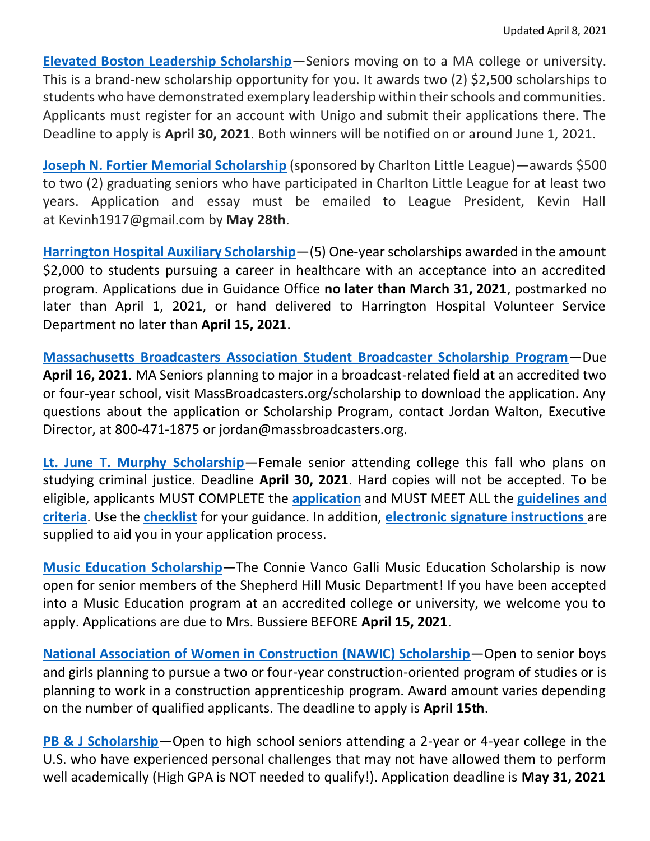**[Elevated Boston Leadership Scholarship](https://classroom.google.com/c/MzgxMTM4MjEzMzda/p/MjU5MjU0NDg2MTQ4/details)**—Seniors moving on to a MA college or university. This is a brand-new scholarship opportunity for you. It awards two (2) \$2,500 scholarships to students who have demonstrated exemplary leadership within their schools and communities. Applicants must register for an account with Unigo and submit their applications there. The Deadline to apply is **April 30, 2021**. Both winners will be notified on or around June 1, 2021.

**[Joseph N. Fortier Memorial Scholarship](https://www.dcrsd.org/uploaded/Schools/SH/guidance/Scholarships/Joseph_N_Fortier_Memorial_Application.pdf?1616418679698)** (sponsored by Charlton Little League)—awards \$500 to two (2) graduating seniors who have participated in Charlton Little League for at least two years. Application and essay must be emailed to League President, Kevin Hall at [Kevinh1917@gmail.com](mailto:Kevinh1917@gmail.com) by **May 28th**.

**[Harrington Hospital Auxiliary Scholarship](https://www.dcrsd.org/uploaded/Schools/SH/guidance/Scholarships/Harrington_Hospital.pdf?1612359373088)**—(5) One-year scholarships awarded in the amount \$2,000 to students pursuing a career in healthcare with an acceptance into an accredited program. Applications due in Guidance Office **no later than March 31, 2021**, postmarked no later than April 1, 2021, or hand delivered to Harrington Hospital Volunteer Service Department no later than **April 15, 2021**.

**[Massachusetts Broadcasters Association Student Broadcaster Scholarship Program](https://www.massbroadcasters.org/scholarship)**—Due **April 16, 2021**. MA Seniors planning to major in a broadcast-related field at an accredited two or four-year school, visit MassBroadcasters.org/scholarship to download the application. Any questions about the application or Scholarship Program, contact Jordan Walton, Executive Director, at 800-471-1875 or jordan@massbroadcasters.org.

**[Lt. June T. Murphy Scholarship](https://www.dcrsd.org/uploaded/Schools/SH/guidance/Scholarships/Lt._June_T._Murphy_Scholarship.pdf?1612362929343)**—Female senior attending college this fall who plans on studying criminal justice. Deadline **April 30, 2021**. Hard copies will not be accepted. To be eligible, applicants MUST COMPLETE the **[application](http://r20.rs6.net/tn.jsp?f=001MqxcrvwQ5MIXIxDy79ylQQHOpeKhPRuupQcWCO8_WWtZd7264kYs082Tm9l6KNLkCJ7E2pwRsuQiNaWvczhuGTmd7dGQkxrQvnWQ64M07AJPwViNm5NbBCjitBN-2KgCC131vgoa7y_Mu_8FNhfi0jjfcBI_iMpQTL0CyQ4Edg8mekPg4hN2Qe-Pz-yDvIkV1_5YhzkMaOkWyj8S7Nu636CjrX4L1dCCeerABXESTi4=&c=kmlVyBeHw_B9MSdGJcwtjvhTqLkIbHg9wwZ4VmypRX91RxZII9MZRg==&ch=qTMB2rXwGuM4h3yA7kw-w9-NxRpx7bZP50IEAzDpvf0rmiMeTfo2yw==)** and MUST MEET ALL the **[guidelines and](http://r20.rs6.net/tn.jsp?f=001MqxcrvwQ5MIXIxDy79ylQQHOpeKhPRuupQcWCO8_WWtZd7264kYs082Tm9l6KNLkWHb-6FfAxd1XnZzeyIOvqD2jN0rYNBs1NEbLzj2VRytMbsXiIUY-PanLtrzjWkSyUBDnLMGfT4YR8CvebwyxGUaYotPwJai3LMbVaS4FQ36GhLnx6oyNd5DBnHFDcS5W5PzK5RDOO0ruIk3gCRU7x8Kbun_FsF-ZP9QWxKH0bMk=&c=kmlVyBeHw_B9MSdGJcwtjvhTqLkIbHg9wwZ4VmypRX91RxZII9MZRg==&ch=qTMB2rXwGuM4h3yA7kw-w9-NxRpx7bZP50IEAzDpvf0rmiMeTfo2yw==)  [criteria](http://r20.rs6.net/tn.jsp?f=001MqxcrvwQ5MIXIxDy79ylQQHOpeKhPRuupQcWCO8_WWtZd7264kYs082Tm9l6KNLkWHb-6FfAxd1XnZzeyIOvqD2jN0rYNBs1NEbLzj2VRytMbsXiIUY-PanLtrzjWkSyUBDnLMGfT4YR8CvebwyxGUaYotPwJai3LMbVaS4FQ36GhLnx6oyNd5DBnHFDcS5W5PzK5RDOO0ruIk3gCRU7x8Kbun_FsF-ZP9QWxKH0bMk=&c=kmlVyBeHw_B9MSdGJcwtjvhTqLkIbHg9wwZ4VmypRX91RxZII9MZRg==&ch=qTMB2rXwGuM4h3yA7kw-w9-NxRpx7bZP50IEAzDpvf0rmiMeTfo2yw==)**. Use the **[checklist](http://r20.rs6.net/tn.jsp?f=001MqxcrvwQ5MIXIxDy79ylQQHOpeKhPRuupQcWCO8_WWtZd7264kYs082Tm9l6KNLkkRxX8HJh6a17xMdQSsyaDUCywRGAxXeToWBTLsKIVtZ6CaT4igDdDfgoBSxFFf5To90fa6nRBP2vIsJO-C4IAVyQYnoT-4im90qwU9-IBmcI9mGuAoLK7ajbCPsW_IFpmc5OCLCNVJj8-X_N-ZIWxholAvDeN3xXZu5XQZaFgqQ=&c=kmlVyBeHw_B9MSdGJcwtjvhTqLkIbHg9wwZ4VmypRX91RxZII9MZRg==&ch=qTMB2rXwGuM4h3yA7kw-w9-NxRpx7bZP50IEAzDpvf0rmiMeTfo2yw==)** for your guidance. In addition, **[electronic signature instructions](http://r20.rs6.net/tn.jsp?f=001MqxcrvwQ5MIXIxDy79ylQQHOpeKhPRuupQcWCO8_WWtZd7264kYs082Tm9l6KNLk9g4IZxo460YDW138yYizNHAsoXe9yFa9TmYPlNhvrXGw8ZOAlzCYp8qgaumz7Wi6ICUZjpmXM5dk_htAB2hqLxtxu_nKVKRAZ9tzX0FOIAq1imekYuFplIOuaa9f0HwvCniLY1il1_GV8adfpzILlDD20nV1WgwBnMaEwstjLqc=&c=kmlVyBeHw_B9MSdGJcwtjvhTqLkIbHg9wwZ4VmypRX91RxZII9MZRg==&ch=qTMB2rXwGuM4h3yA7kw-w9-NxRpx7bZP50IEAzDpvf0rmiMeTfo2yw==)** are supplied to aid you in your application process.

**[Music Education Scholarship](https://www.dcrsd.org/uploaded/Schools/SH/guidance/Scholarships/Connie_Vanco_Gailli_Music_Education_Scholarship_Application_and_Info_Sheet.pdf?1613150792673)**—The Connie Vanco Galli Music Education Scholarship is now open for senior members of the Shepherd Hill Music Department! If you have been accepted into a Music Education program at an accredited college or university, we welcome you to apply. Applications are due to Mrs. Bussiere BEFORE **April 15, 2021**.

**[National Association of Women in Construction \(NAWIC\) Scholarship](https://www.dcrsd.org/uploaded/Schools/SH/guidance/Scholarships/2021_NAWIC_Scholarship_Qualifications_Guidelines.pdf?1612798553283)**—Open to senior boys and girls planning to pursue a two or four-year construction-oriented program of studies or is planning to work in a construction apprenticeship program. Award amount varies depending on the number of qualified applicants. The deadline to apply is **April 15th**.

**[PB & J Scholarship](https://www.dcrsd.org/uploaded/Schools/SH/guidance/Scholarships/PB_J_Scholarship.pdf?1604678182812)**—Open to high school seniors attending a 2-year or 4-year college in the U.S. who have experienced personal challenges that may not have allowed them to perform well academically (High GPA is NOT needed to qualify!). Application deadline is **May 31, 2021**